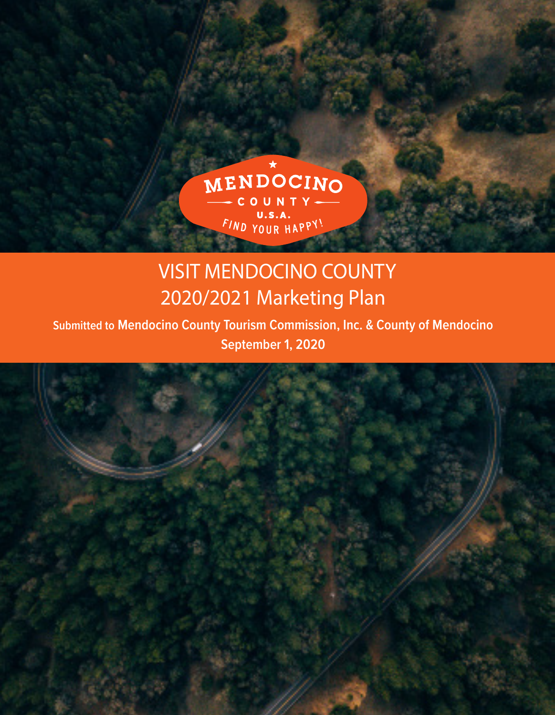

# VISIT MENDOCINO COUNTY 2020/2021 Marketing Plan

**Submitted to Mendocino County Tourism Commission, Inc. & County of Mendocino September 1, 2020**

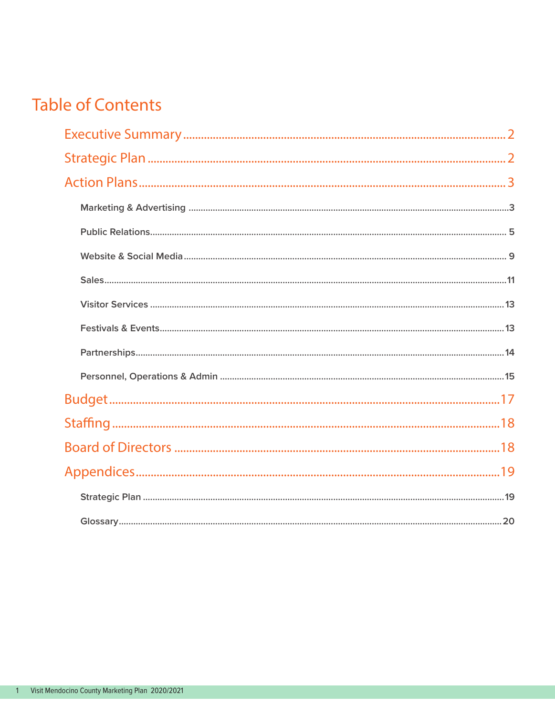## **Table of Contents**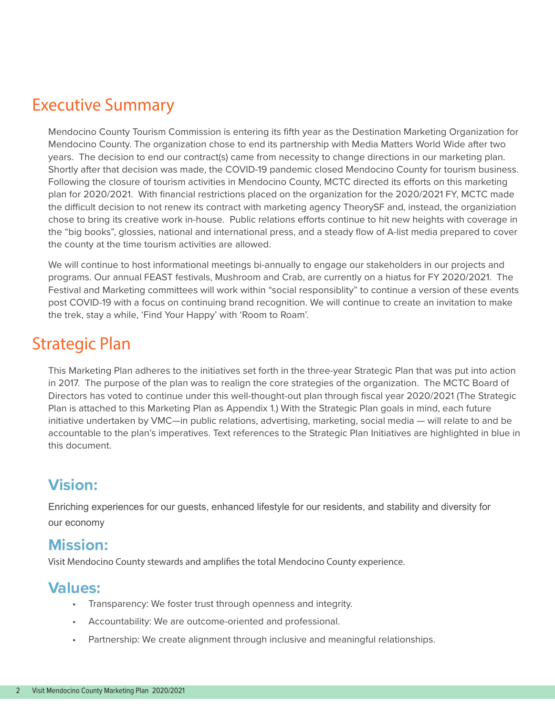## Executive Summary

Mendocino County Tourism Commission is entering its fifth year as the Destination Marketing Organization for Mendocino County. The organization chose to end its partnership with Media Matters World Wide after two years. The decision to end our contract(s) came from necessity to change directions in our marketing plan. Shortly after that decision was made, the COVID-19 pandemic closed Mendocino County for tourism business. Following the closure of tourism activities in Mendocino County, MCTC directed its efforts on this marketing plan for 2020/2021. With financial restrictions placed on the organization for the 2020/2021 FY, MCTC made the difficult decision to not renew its contract with marketing agency TheorySF and, instead, the organiziation chose to bring its creative work in-house. Public relations efforts continue to hit new heights with coverage in the "big books", glossies, national and international press, and a steady flow of A-list media prepared to cover the county at the time tourism activities are allowed.

We will continue to host informational meetings bi-annually to engage our stakeholders in our projects and programs. Our annual FEAST festivals, Mushroom and Crab, are currently on a hiatus for FY 2020/2021. The Festival and Marketing committees will work within "social responsiblity" to continue a version of these events post COVID-19 with a focus on continuing brand recognition. We will continue to create an invitation to make the trek, stay a while, 'Find Your Happy' with 'Room to Roam'.

## Strategic Plan

This Marketing Plan adheres to the initiatives set forth in the three-year Strategic Plan that was put into action in 2017. The purpose of the plan was to realign the core strategies of the organization. The MCTC Board of Directors has voted to continue under this well-thought-out plan through fiscal year 2020/2021 (The Strategic Plan is attached to this Marketing Plan as Appendix 1.) With the Strategic Plan goals in mind, each future initiative undertaken by VMC—in public relations, advertising, marketing, social media — will relate to and be accountable to the plan's imperatives. Text references to the Strategic Plan Initiatives are highlighted in blue in this document.

## **Vision:**

Enriching experiences for our guests, enhanced lifestyle for our residents, and stability and diversity for our economy

## **Mission:**

Visit Mendocino County stewards and amplifies the total Mendocino County experience.

## **Values:**

- Transparency: We foster trust through openness and integrity.
- Accountability: We are outcome-oriented and professional.
- Partnership: We create alignment through inclusive and meaningful relationships.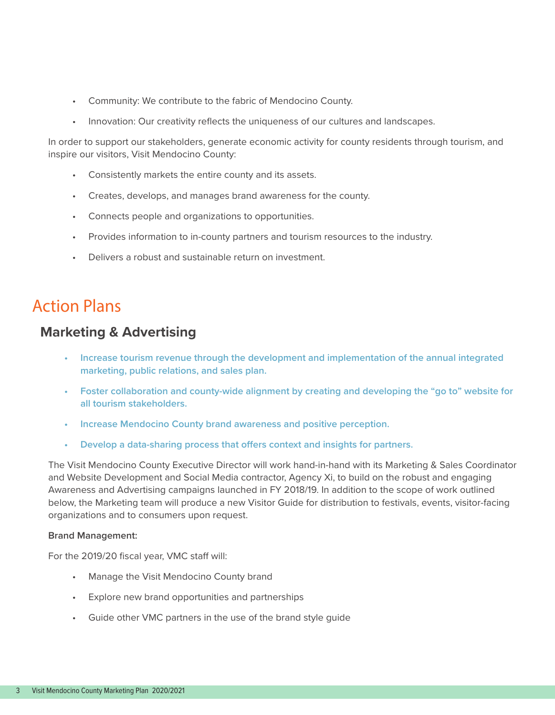- Community: We contribute to the fabric of Mendocino County.
- Innovation: Our creativity reflects the uniqueness of our cultures and landscapes.

In order to support our stakeholders, generate economic activity for county residents through tourism, and inspire our visitors, Visit Mendocino County:

- Consistently markets the entire county and its assets.
- Creates, develops, and manages brand awareness for the county.
- Connects people and organizations to opportunities.
- Provides information to in-county partners and tourism resources to the industry.
- Delivers a robust and sustainable return on investment.

## Action Plans

### **Marketing & Advertising**

- **• Increase tourism revenue through the development and implementation of the annual integrated marketing, public relations, and sales plan.**
- **• Foster collaboration and county-wide alignment by creating and developing the "go to" website for all tourism stakeholders.**
- **• Increase Mendocino County brand awareness and positive perception.**
- **• Develop a data-sharing process that offers context and insights for partners.**

The Visit Mendocino County Executive Director will work hand-in-hand with its Marketing & Sales Coordinator and Website Development and Social Media contractor, Agency Xi, to build on the robust and engaging Awareness and Advertising campaigns launched in FY 2018/19. In addition to the scope of work outlined below, the Marketing team will produce a new Visitor Guide for distribution to festivals, events, visitor-facing organizations and to consumers upon request.

#### **Brand Management:**

For the 2019/20 fiscal year, VMC staff will:

- Manage the Visit Mendocino County brand
- Explore new brand opportunities and partnerships
- Guide other VMC partners in the use of the brand style guide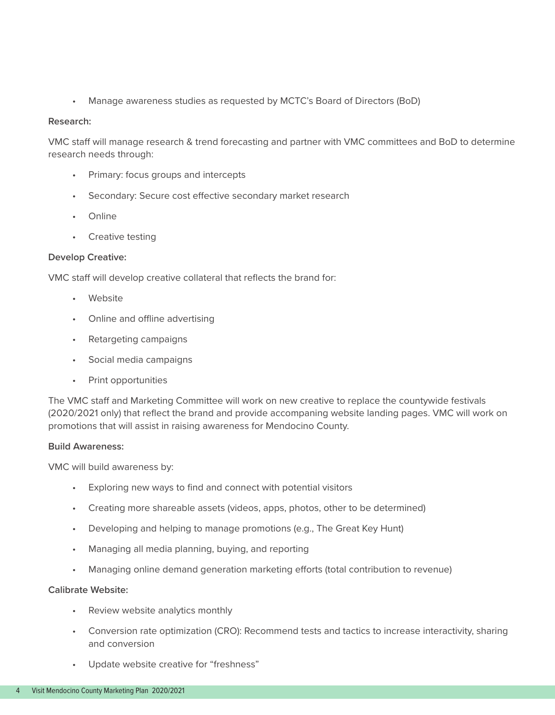• Manage awareness studies as requested by MCTC's Board of Directors (BoD)

#### **Research:**

VMC staff will manage research & trend forecasting and partner with VMC committees and BoD to determine research needs through:

- Primary: focus groups and intercepts
- Secondary: Secure cost effective secondary market research
- Online
- Creative testing

#### **Develop Creative:**

VMC staff will develop creative collateral that reflects the brand for:

- Website
- Online and offline advertising
- Retargeting campaigns
- Social media campaigns
- Print opportunities

The VMC staff and Marketing Committee will work on new creative to replace the countywide festivals (2020/2021 only) that reflect the brand and provide accompaning website landing pages. VMC will work on promotions that will assist in raising awareness for Mendocino County.

#### **Build Awareness:**

VMC will build awareness by:

- Exploring new ways to find and connect with potential visitors
- Creating more shareable assets (videos, apps, photos, other to be determined)
- Developing and helping to manage promotions (e.g., The Great Key Hunt)
- Managing all media planning, buying, and reporting
- Managing online demand generation marketing efforts (total contribution to revenue)

#### **Calibrate Website:**

- Review website analytics monthly
- Conversion rate optimization (CRO): Recommend tests and tactics to increase interactivity, sharing and conversion
- Update website creative for "freshness"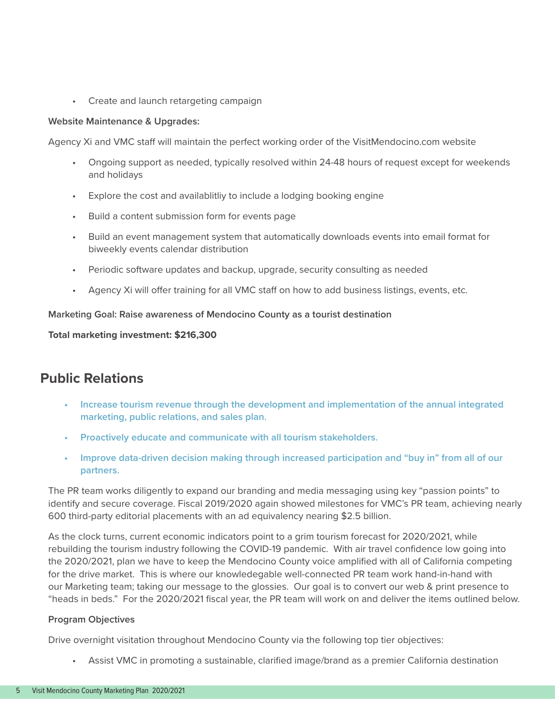• Create and launch retargeting campaign

#### **Website Maintenance & Upgrades:**

Agency Xi and VMC staff will maintain the perfect working order of the VisitMendocino.com website

- Ongoing support as needed, typically resolved within 24-48 hours of request except for weekends and holidays
- Explore the cost and availablitliy to include a lodging booking engine
- Build a content submission form for events page
- Build an event management system that automatically downloads events into email format for biweekly events calendar distribution
- Periodic software updates and backup, upgrade, security consulting as needed
- Agency Xi will offer training for all VMC staff on how to add business listings, events, etc.

**Marketing Goal: Raise awareness of Mendocino County as a tourist destination**

**Total marketing investment: \$216,300**

### **Public Relations**

- **• Increase tourism revenue through the development and implementation of the annual integrated marketing, public relations, and sales plan.**
- **• Proactively educate and communicate with all tourism stakeholders.**
- **• Improve data-driven decision making through increased participation and "buy in" from all of our partners.**

The PR team works diligently to expand our branding and media messaging using key "passion points" to identify and secure coverage. Fiscal 2019/2020 again showed milestones for VMC's PR team, achieving nearly 600 third-party editorial placements with an ad equivalency nearing \$2.5 billion.

As the clock turns, current economic indicators point to a grim tourism forecast for 2020/2021, while rebuilding the tourism industry following the COVID-19 pandemic. With air travel confidence low going into the 2020/2021, plan we have to keep the Mendocino County voice amplified with all of California competing for the drive market. This is where our knowledegable well-connected PR team work hand-in-hand with our Marketing team; taking our message to the glossies. Our goal is to convert our web & print presence to "heads in beds." For the 2020/2021 fiscal year, the PR team will work on and deliver the items outlined below.

#### **Program Objectives**

Drive overnight visitation throughout Mendocino County via the following top tier objectives:

• Assist VMC in promoting a sustainable, clarified image/brand as a premier California destination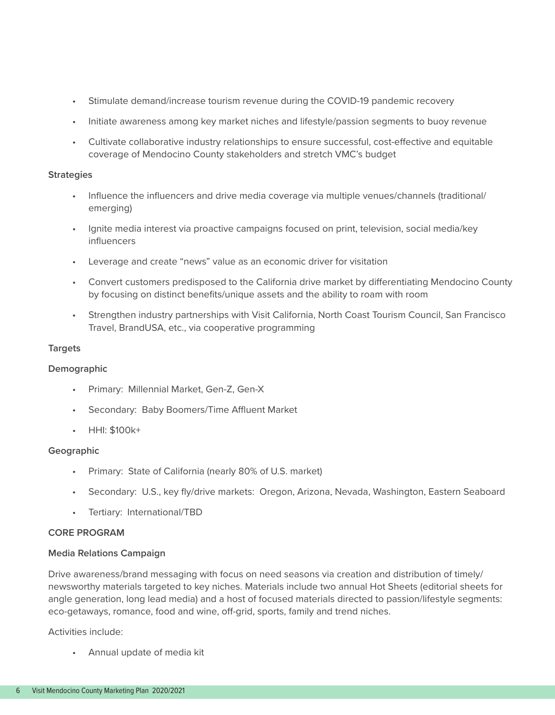- Stimulate demand/increase tourism revenue during the COVID-19 pandemic recovery
- Initiate awareness among key market niches and lifestyle/passion segments to buoy revenue
- Cultivate collaborative industry relationships to ensure successful, cost-effective and equitable coverage of Mendocino County stakeholders and stretch VMC's budget

#### **Strategies**

- Influence the influencers and drive media coverage via multiple venues/channels (traditional/ emerging)
- Ignite media interest via proactive campaigns focused on print, television, social media/key influencers
- Leverage and create "news" value as an economic driver for visitation
- Convert customers predisposed to the California drive market by differentiating Mendocino County by focusing on distinct benefits/unique assets and the ability to roam with room
- Strengthen industry partnerships with Visit California, North Coast Tourism Council, San Francisco Travel, BrandUSA, etc., via cooperative programming

#### **Targets**

#### **Demographic**

- Primary: Millennial Market, Gen-Z, Gen-X
- Secondary: Baby Boomers/Time Affluent Market
- HHI: \$100k+

#### **Geographic**

- Primary: State of California (nearly 80% of U.S. market)
- Secondary: U.S., key fly/drive markets: Oregon, Arizona, Nevada, Washington, Eastern Seaboard
- Tertiary: International/TBD

#### **CORE PROGRAM**

#### **Media Relations Campaign**

Drive awareness/brand messaging with focus on need seasons via creation and distribution of timely/ newsworthy materials targeted to key niches. Materials include two annual Hot Sheets (editorial sheets for angle generation, long lead media) and a host of focused materials directed to passion/lifestyle segments: eco-getaways, romance, food and wine, off-grid, sports, family and trend niches.

Activities include:

• Annual update of media kit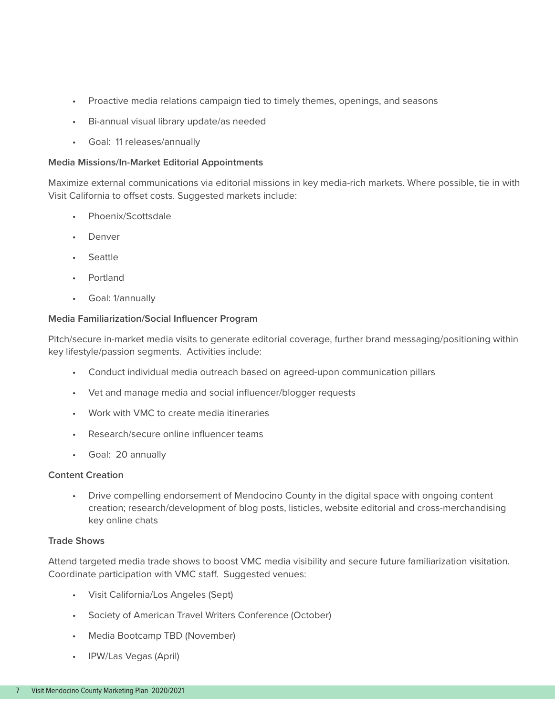- Proactive media relations campaign tied to timely themes, openings, and seasons
- Bi-annual visual library update/as needed
- Goal: 11 releases/annually

#### **Media Missions/In-Market Editorial Appointments**

Maximize external communications via editorial missions in key media-rich markets. Where possible, tie in with Visit California to offset costs. Suggested markets include:

- Phoenix/Scottsdale
- Denver
- Seattle
- Portland
- Goal: 1/annually

#### **Media Familiarization/Social Influencer Program**

Pitch/secure in-market media visits to generate editorial coverage, further brand messaging/positioning within key lifestyle/passion segments. Activities include:

- Conduct individual media outreach based on agreed-upon communication pillars
- Vet and manage media and social influencer/blogger requests
- Work with VMC to create media itineraries
- Research/secure online influencer teams
- Goal: 20 annually

#### **Content Creation**

• Drive compelling endorsement of Mendocino County in the digital space with ongoing content creation; research/development of blog posts, listicles, website editorial and cross-merchandising key online chats

#### **Trade Shows**

Attend targeted media trade shows to boost VMC media visibility and secure future familiarization visitation. Coordinate participation with VMC staff. Suggested venues:

- Visit California/Los Angeles (Sept)
- Society of American Travel Writers Conference (October)
- Media Bootcamp TBD (November)
- IPW/Las Vegas (April)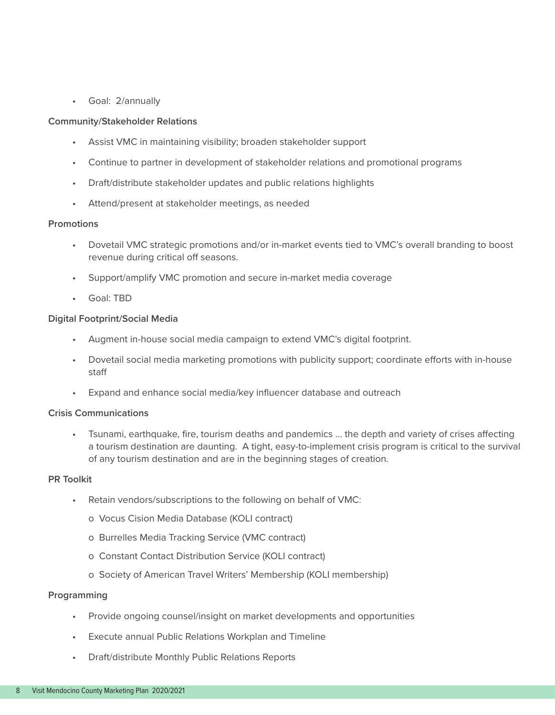• Goal: 2/annually

#### **Community/Stakeholder Relations**

- Assist VMC in maintaining visibility; broaden stakeholder support
- Continue to partner in development of stakeholder relations and promotional programs
- Draft/distribute stakeholder updates and public relations highlights
- Attend/present at stakeholder meetings, as needed

#### **Promotions**

- Dovetail VMC strategic promotions and/or in-market events tied to VMC's overall branding to boost revenue during critical off seasons.
- Support/amplify VMC promotion and secure in-market media coverage
- Goal: TBD

#### **Digital Footprint/Social Media**

- Augment in-house social media campaign to extend VMC's digital footprint.
- Dovetail social media marketing promotions with publicity support; coordinate efforts with in-house staff
- Expand and enhance social media/key influencer database and outreach

#### **Crisis Communications**

Tsunami, earthquake, fire, tourism deaths and pandemics ... the depth and variety of crises affecting a tourism destination are daunting. A tight, easy-to-implement crisis program is critical to the survival of any tourism destination and are in the beginning stages of creation.

#### **PR Toolkit**

- Retain vendors/subscriptions to the following on behalf of VMC:
	- o Vocus Cision Media Database (KOLI contract)
	- o Burrelles Media Tracking Service (VMC contract)
	- o Constant Contact Distribution Service (KOLI contract)
	- o Society of American Travel Writers' Membership (KOLI membership)

#### **Programming**

- Provide ongoing counsel/insight on market developments and opportunities
- Execute annual Public Relations Workplan and Timeline
- Draft/distribute Monthly Public Relations Reports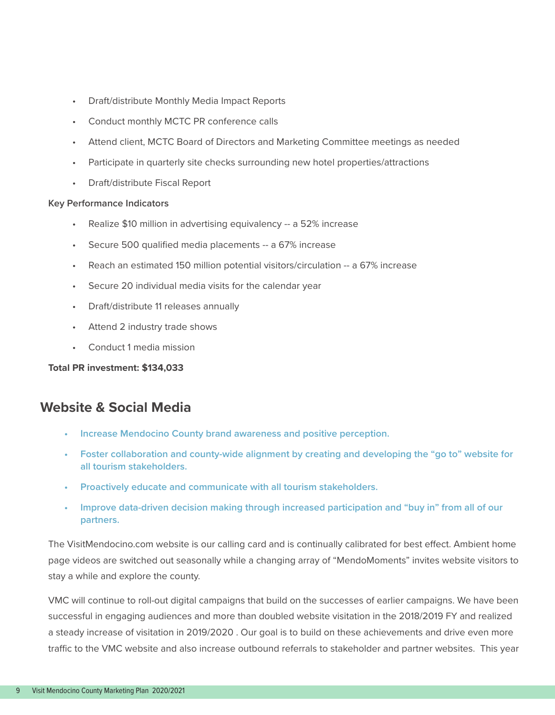- Draft/distribute Monthly Media Impact Reports
- Conduct monthly MCTC PR conference calls
- Attend client, MCTC Board of Directors and Marketing Committee meetings as needed
- Participate in quarterly site checks surrounding new hotel properties/attractions
- Draft/distribute Fiscal Report

#### **Key Performance Indicators**

- Realize \$10 million in advertising equivalency -- a 52% increase
- Secure 500 qualified media placements -- a 67% increase
- Reach an estimated 150 million potential visitors/circulation -- a 67% increase
- Secure 20 individual media visits for the calendar year
- Draft/distribute 11 releases annually
- Attend 2 industry trade shows
- Conduct 1 media mission

#### **Total PR investment: \$134,033**

### **Website & Social Media**

- **• Increase Mendocino County brand awareness and positive perception.**
- **• Foster collaboration and county-wide alignment by creating and developing the "go to" website for all tourism stakeholders.**
- **• Proactively educate and communicate with all tourism stakeholders.**
- **• Improve data-driven decision making through increased participation and "buy in" from all of our partners.**

The VisitMendocino.com website is our calling card and is continually calibrated for best effect. Ambient home page videos are switched out seasonally while a changing array of "MendoMoments" invites website visitors to stay a while and explore the county.

VMC will continue to roll-out digital campaigns that build on the successes of earlier campaigns. We have been successful in engaging audiences and more than doubled website visitation in the 2018/2019 FY and realized a steady increase of visitation in 2019/2020 . Our goal is to build on these achievements and drive even more traffic to the VMC website and also increase outbound referrals to stakeholder and partner websites. This year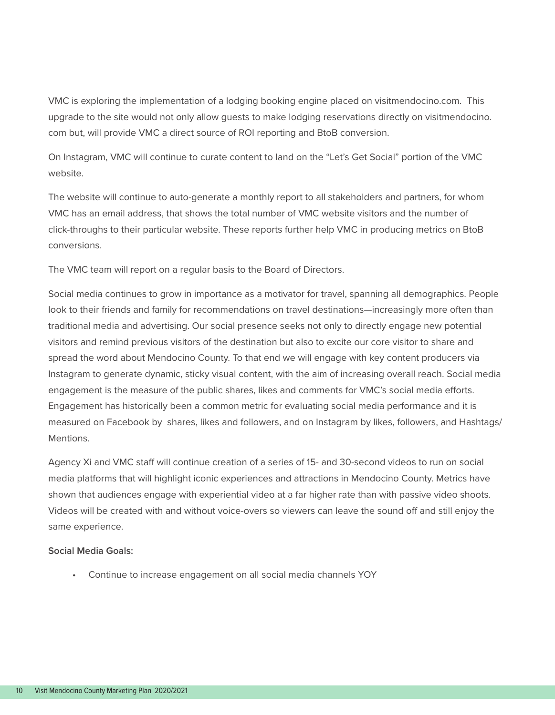VMC is exploring the implementation of a lodging booking engine placed on visitmendocino.com. This upgrade to the site would not only allow guests to make lodging reservations directly on visitmendocino. com but, will provide VMC a direct source of ROI reporting and BtoB conversion.

On Instagram, VMC will continue to curate content to land on the "Let's Get Social" portion of the VMC website.

The website will continue to auto-generate a monthly report to all stakeholders and partners, for whom VMC has an email address, that shows the total number of VMC website visitors and the number of click-throughs to their particular website. These reports further help VMC in producing metrics on BtoB conversions.

The VMC team will report on a regular basis to the Board of Directors.

Social media continues to grow in importance as a motivator for travel, spanning all demographics. People look to their friends and family for recommendations on travel destinations—increasingly more often than traditional media and advertising. Our social presence seeks not only to directly engage new potential visitors and remind previous visitors of the destination but also to excite our core visitor to share and spread the word about Mendocino County. To that end we will engage with key content producers via Instagram to generate dynamic, sticky visual content, with the aim of increasing overall reach. Social media engagement is the measure of the public shares, likes and comments for VMC's social media efforts. Engagement has historically been a common metric for evaluating social media performance and it is measured on Facebook by shares, likes and followers, and on Instagram by likes, followers, and Hashtags/ Mentions.

Agency Xi and VMC staff will continue creation of a series of 15- and 30-second videos to run on social media platforms that will highlight iconic experiences and attractions in Mendocino County. Metrics have shown that audiences engage with experiential video at a far higher rate than with passive video shoots. Videos will be created with and without voice-overs so viewers can leave the sound off and still enjoy the same experience.

#### **Social Media Goals:**

• Continue to increase engagement on all social media channels YOY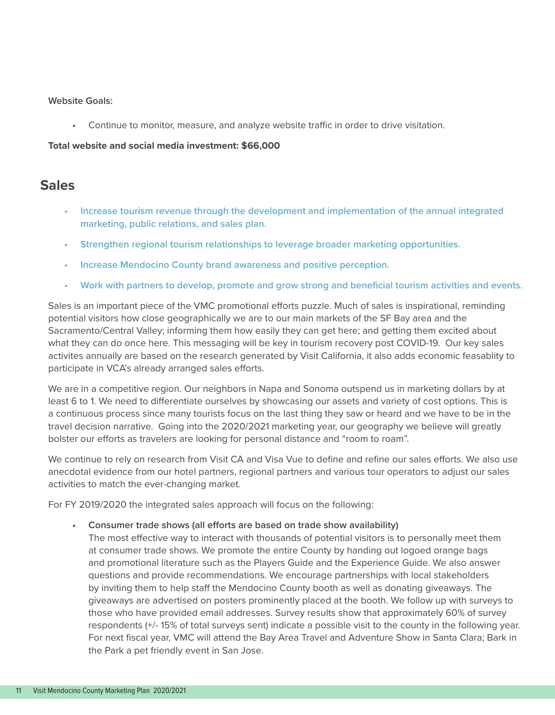#### **Website Goals:**

• Continue to monitor, measure, and analyze website traffic in order to drive visitation.

#### **Total website and social media investment: \$66,000**

### **Sales**

- **• Increase tourism revenue through the development and implementation of the annual integrated marketing, public relations, and sales plan.**
- **• Strengthen regional tourism relationships to leverage broader marketing opportunities.**
- **• Increase Mendocino County brand awareness and positive perception.**
- **• Work with partners to develop, promote and grow strong and beneficial tourism activities and events.**

Sales is an important piece of the VMC promotional efforts puzzle. Much of sales is inspirational, reminding potential visitors how close geographically we are to our main markets of the SF Bay area and the Sacramento/Central Valley; informing them how easily they can get here; and getting them excited about what they can do once here. This messaging will be key in tourism recovery post COVID-19. Our key sales activites annually are based on the research generated by Visit California, it also adds economic feasablity to participate in VCA's already arranged sales efforts.

We are in a competitive region. Our neighbors in Napa and Sonoma outspend us in marketing dollars by at least 6 to 1. We need to differentiate ourselves by showcasing our assets and variety of cost options. This is a continuous process since many tourists focus on the last thing they saw or heard and we have to be in the travel decision narrative. Going into the 2020/2021 marketing year, our geography we believe will greatly bolster our efforts as travelers are looking for personal distance and "room to roam".

We continue to rely on research from Visit CA and Visa Vue to define and refine our sales efforts. We also use anecdotal evidence from our hotel partners, regional partners and various tour operators to adjust our sales activities to match the ever-changing market.

For FY 2019/2020 the integrated sales approach will focus on the following:

**• Consumer trade shows (all efforts are based on trade show availability)**

The most effective way to interact with thousands of potential visitors is to personally meet them at consumer trade shows. We promote the entire County by handing out logoed orange bags and promotional literature such as the Players Guide and the Experience Guide. We also answer questions and provide recommendations. We encourage partnerships with local stakeholders by inviting them to help staff the Mendocino County booth as well as donating giveaways. The giveaways are advertised on posters prominently placed at the booth. We follow up with surveys to those who have provided email addresses. Survey results show that approximately 60% of survey respondents (+/- 15% of total surveys sent) indicate a possible visit to the county in the following year. For next fiscal year, VMC will attend the Bay Area Travel and Adventure Show in Santa Clara; Bark in the Park a pet friendly event in San Jose.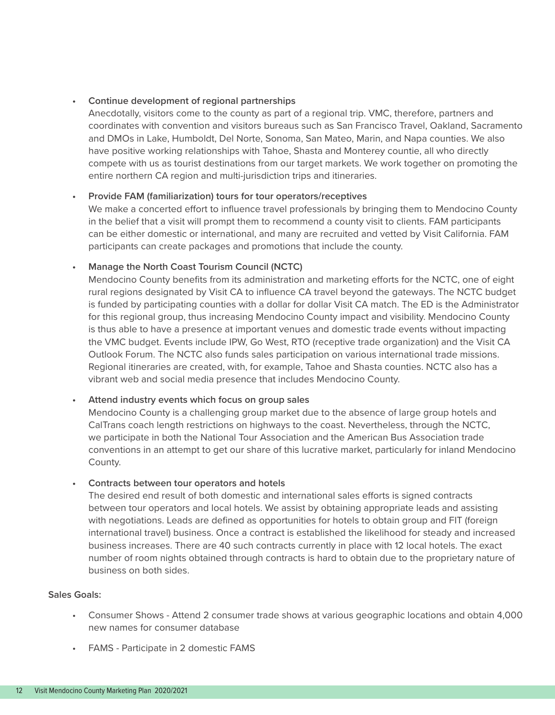#### **• Continue development of regional partnerships**

Anecdotally, visitors come to the county as part of a regional trip. VMC, therefore, partners and coordinates with convention and visitors bureaus such as San Francisco Travel, Oakland, Sacramento and DMOs in Lake, Humboldt, Del Norte, Sonoma, San Mateo, Marin, and Napa counties. We also have positive working relationships with Tahoe, Shasta and Monterey countie, all who directly compete with us as tourist destinations from our target markets. We work together on promoting the entire northern CA region and multi-jurisdiction trips and itineraries.

#### **• Provide FAM (familiarization) tours for tour operators/receptives**

We make a concerted effort to influence travel professionals by bringing them to Mendocino County in the belief that a visit will prompt them to recommend a county visit to clients. FAM participants can be either domestic or international, and many are recruited and vetted by Visit California. FAM participants can create packages and promotions that include the county.

#### **• Manage the North Coast Tourism Council (NCTC)**

Mendocino County benefits from its administration and marketing efforts for the NCTC, one of eight rural regions designated by Visit CA to influence CA travel beyond the gateways. The NCTC budget is funded by participating counties with a dollar for dollar Visit CA match. The ED is the Administrator for this regional group, thus increasing Mendocino County impact and visibility. Mendocino County is thus able to have a presence at important venues and domestic trade events without impacting the VMC budget. Events include IPW, Go West, RTO (receptive trade organization) and the Visit CA Outlook Forum. The NCTC also funds sales participation on various international trade missions. Regional itineraries are created, with, for example, Tahoe and Shasta counties. NCTC also has a vibrant web and social media presence that includes Mendocino County.

#### **• Attend industry events which focus on group sales**

Mendocino County is a challenging group market due to the absence of large group hotels and CalTrans coach length restrictions on highways to the coast. Nevertheless, through the NCTC, we participate in both the National Tour Association and the American Bus Association trade conventions in an attempt to get our share of this lucrative market, particularly for inland Mendocino County.

#### **• Contracts between tour operators and hotels**

The desired end result of both domestic and international sales efforts is signed contracts between tour operators and local hotels. We assist by obtaining appropriate leads and assisting with negotiations. Leads are defined as opportunities for hotels to obtain group and FIT (foreign international travel) business. Once a contract is established the likelihood for steady and increased business increases. There are 40 such contracts currently in place with 12 local hotels. The exact number of room nights obtained through contracts is hard to obtain due to the proprietary nature of business on both sides.

#### **Sales Goals:**

- Consumer Shows Attend 2 consumer trade shows at various geographic locations and obtain 4,000 new names for consumer database
- FAMS Participate in 2 domestic FAMS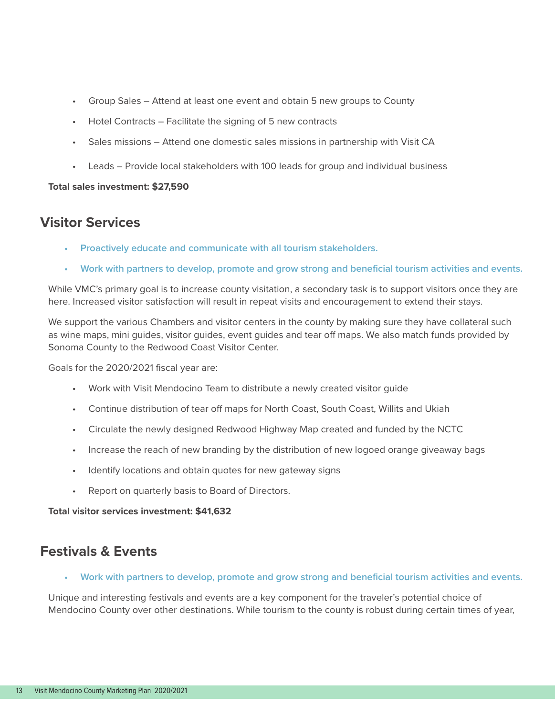- Group Sales Attend at least one event and obtain 5 new groups to County
- Hotel Contracts Facilitate the signing of 5 new contracts
- Sales missions Attend one domestic sales missions in partnership with Visit CA
- Leads Provide local stakeholders with 100 leads for group and individual business

#### **Total sales investment: \$27,590**

### **Visitor Services**

- **• Proactively educate and communicate with all tourism stakeholders.**
- **• Work with partners to develop, promote and grow strong and beneficial tourism activities and events.**

While VMC's primary goal is to increase county visitation, a secondary task is to support visitors once they are here. Increased visitor satisfaction will result in repeat visits and encouragement to extend their stays.

We support the various Chambers and visitor centers in the county by making sure they have collateral such as wine maps, mini guides, visitor guides, event guides and tear off maps. We also match funds provided by Sonoma County to the Redwood Coast Visitor Center.

Goals for the 2020/2021 fiscal year are:

- Work with Visit Mendocino Team to distribute a newly created visitor guide
- Continue distribution of tear off maps for North Coast, South Coast, Willits and Ukiah
- Circulate the newly designed Redwood Highway Map created and funded by the NCTC
- Increase the reach of new branding by the distribution of new logoed orange giveaway bags
- Identify locations and obtain quotes for new gateway signs
- Report on quarterly basis to Board of Directors.

**Total visitor services investment: \$41,632**

### **Festivals & Events**

**• Work with partners to develop, promote and grow strong and beneficial tourism activities and events.**

Unique and interesting festivals and events are a key component for the traveler's potential choice of Mendocino County over other destinations. While tourism to the county is robust during certain times of year,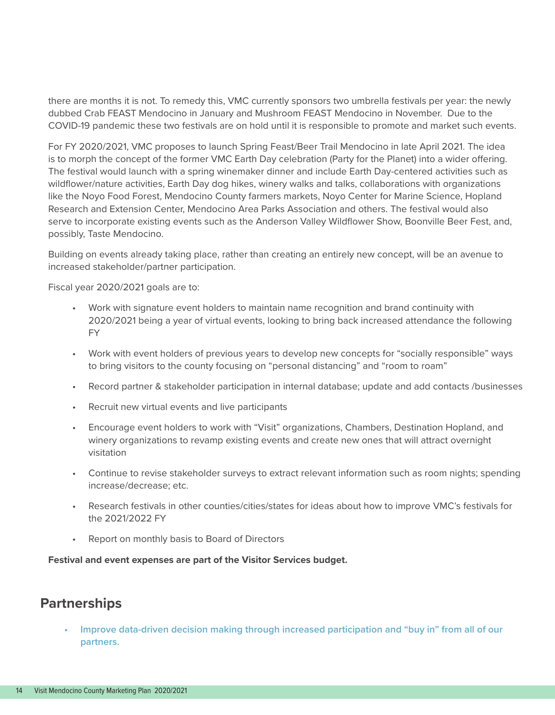there are months it is not. To remedy this, VMC currently sponsors two umbrella festivals per year: the newly dubbed Crab FEAST Mendocino in January and Mushroom FEAST Mendocino in November. Due to the COVID-19 pandemic these two festivals are on hold until it is responsible to promote and market such events.

For FY 2020/2021, VMC proposes to launch Spring Feast/Beer Trail Mendocino in late April 2021. The idea is to morph the concept of the former VMC Earth Day celebration (Party for the Planet) into a wider offering. The festival would launch with a spring winemaker dinner and include Earth Day-centered activities such as wildflower/nature activities, Earth Day dog hikes, winery walks and talks, collaborations with organizations like the Noyo Food Forest, Mendocino County farmers markets, Noyo Center for Marine Science, Hopland Research and Extension Center, Mendocino Area Parks Association and others. The festival would also serve to incorporate existing events such as the Anderson Valley Wildflower Show, Boonville Beer Fest, and, possibly, Taste Mendocino.

Building on events already taking place, rather than creating an entirely new concept, will be an avenue to increased stakeholder/partner participation.

Fiscal year 2020/2021 goals are to:

- Work with signature event holders to maintain name recognition and brand continuity with 2020/2021 being a year of virtual events, looking to bring back increased attendance the following FY
- Work with event holders of previous years to develop new concepts for "socially responsible" ways to bring visitors to the county focusing on "personal distancing" and "room to roam"
- Record partner & stakeholder participation in internal database; update and add contacts /businesses
- Recruit new virtual events and live participants
- Encourage event holders to work with "Visit" organizations, Chambers, Destination Hopland, and winery organizations to revamp existing events and create new ones that will attract overnight visitation
- Continue to revise stakeholder surveys to extract relevant information such as room nights; spending increase/decrease; etc.
- Research festivals in other counties/cities/states for ideas about how to improve VMC's festivals for the 2021/2022 FY
- Report on monthly basis to Board of Directors

**Festival and event expenses are part of the Visitor Services budget.**

### **Partnerships**

**• Improve data-driven decision making through increased participation and "buy in" from all of our partners.**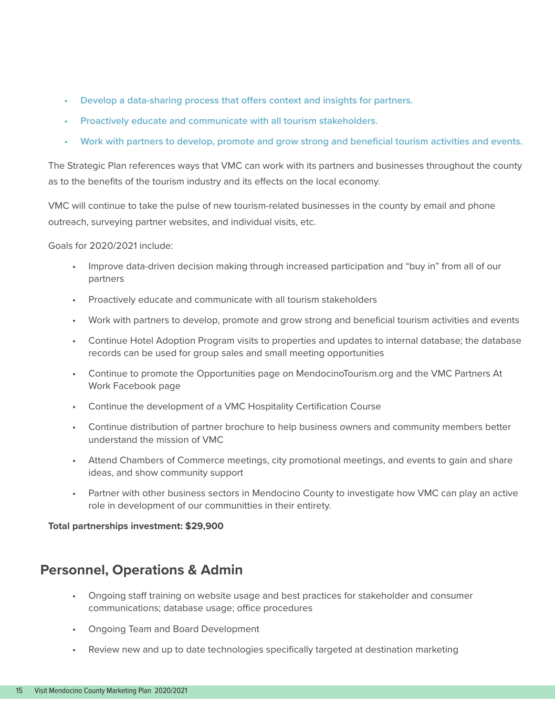- **• Develop a data-sharing process that offers context and insights for partners.**
- **• Proactively educate and communicate with all tourism stakeholders.**
- **• Work with partners to develop, promote and grow strong and beneficial tourism activities and events.**

The Strategic Plan references ways that VMC can work with its partners and businesses throughout the county as to the benefits of the tourism industry and its effects on the local economy.

VMC will continue to take the pulse of new tourism-related businesses in the county by email and phone outreach, surveying partner websites, and individual visits, etc.

Goals for 2020/2021 include:

- Improve data-driven decision making through increased participation and "buy in" from all of our partners
- Proactively educate and communicate with all tourism stakeholders
- Work with partners to develop, promote and grow strong and beneficial tourism activities and events
- Continue Hotel Adoption Program visits to properties and updates to internal database; the database records can be used for group sales and small meeting opportunities
- Continue to promote the Opportunities page on MendocinoTourism.org and the VMC Partners At Work Facebook page
- Continue the development of a VMC Hospitality Certification Course
- Continue distribution of partner brochure to help business owners and community members better understand the mission of VMC
- Attend Chambers of Commerce meetings, city promotional meetings, and events to gain and share ideas, and show community support
- Partner with other business sectors in Mendocino County to investigate how VMC can play an active role in development of our communitties in their entirety.

#### **Total partnerships investment: \$29,900**

### **Personnel, Operations & Admin**

- Ongoing staff training on website usage and best practices for stakeholder and consumer communications; database usage; office procedures
- Ongoing Team and Board Development
- Review new and up to date technologies specifically targeted at destination marketing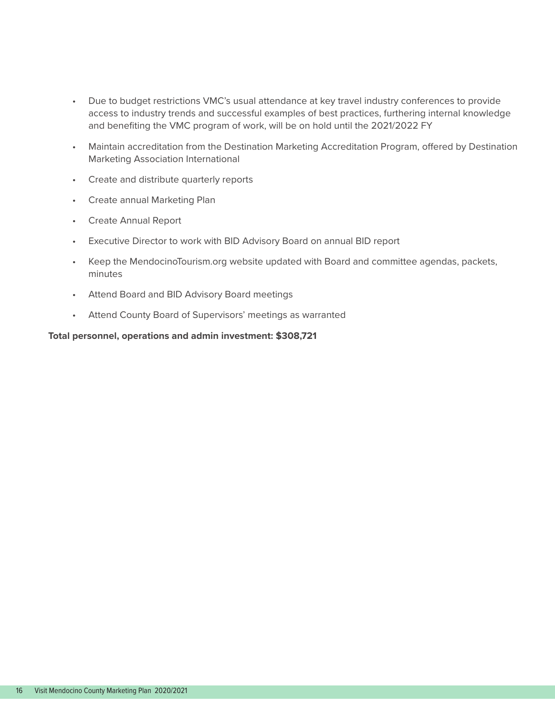- Due to budget restrictions VMC's usual attendance at key travel industry conferences to provide access to industry trends and successful examples of best practices, furthering internal knowledge and benefiting the VMC program of work, will be on hold until the 2021/2022 FY
- Maintain accreditation from the Destination Marketing Accreditation Program, offered by Destination Marketing Association International
- Create and distribute quarterly reports
- Create annual Marketing Plan
- Create Annual Report
- Executive Director to work with BID Advisory Board on annual BID report
- Keep the MendocinoTourism.org website updated with Board and committee agendas, packets, minutes
- Attend Board and BID Advisory Board meetings
- Attend County Board of Supervisors' meetings as warranted

#### **Total personnel, operations and admin investment: \$308,721**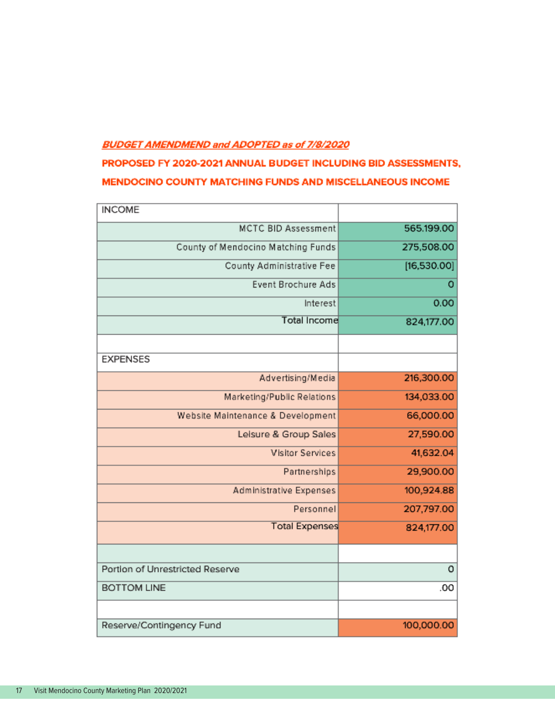#### **BUDGET AMENDMEND and ADOPTED as of 7/8/2020**

### PROPOSED FY 2020-2021 ANNUAL BUDGET INCLUDING BID ASSESSMENTS, MENDOCINO COUNTY MATCHING FUNDS AND MISCELLANEOUS INCOME

| <b>INCOME</b>                      |             |
|------------------------------------|-------------|
| <b>MCTC BID Assessment</b>         | 565.199.00  |
| County of Mendocino Matching Funds | 275,508.00  |
| County Administrative Fee          | [16,530.00] |
| <b>Event Brochure Ads</b>          | o           |
| Interest                           | 0.00        |
| <b>Total Income</b>                | 824,177.00  |
|                                    |             |
| <b>EXPENSES</b>                    |             |
| Advertising/Media                  | 216,300.00  |
| Marketing/Public Relations         | 134,033.00  |
| Website Maintenance & Development  | 66,000.00   |
| Leisure & Group Sales              | 27,590.00   |
| <b>Visitor Services</b>            | 41,632.04   |
| Partnerships                       | 29,900.00   |
| Administrative Expenses            | 100,924.88  |
| Personnel                          | 207,797.00  |
| <b>Total Expenses</b>              | 824,177.00  |
|                                    |             |
| Portion of Unrestricted Reserve    | 0           |
| <b>BOTTOM LINE</b>                 | .00         |
|                                    |             |
| Reserve/Contingency Fund           | 100,000.00  |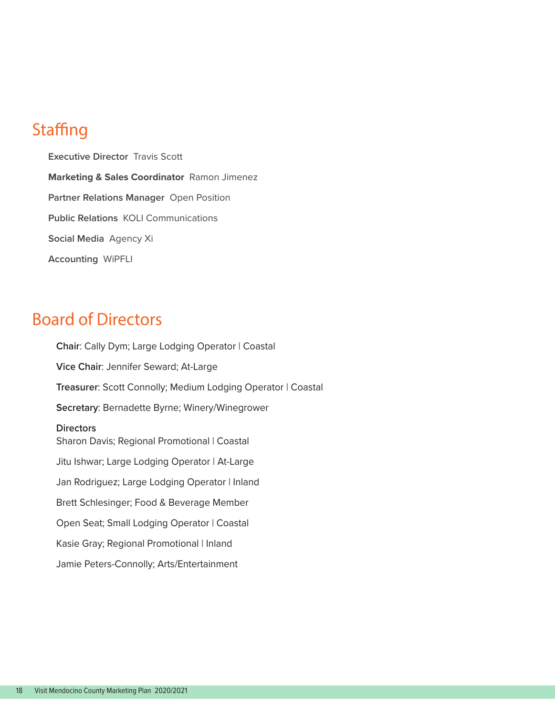## **Staffing**

**Executive Director** Travis Scott **Marketing & Sales Coordinator** Ramon Jimenez **Partner Relations Manager** Open Position **Public Relations** KOLI Communications **Social Media** Agency Xi **Accounting** WiPFLI

## Board of Directors

**Chair**: Cally Dym; Large Lodging Operator | Coastal **Vice Chair**: Jennifer Seward; At-Large **Treasurer**: Scott Connolly; Medium Lodging Operator | Coastal **Secretary**: Bernadette Byrne; Winery/Winegrower **Directors** Sharon Davis; Regional Promotional | Coastal Jitu Ishwar; Large Lodging Operator | At-Large Jan Rodriguez; Large Lodging Operator | Inland Brett Schlesinger; Food & Beverage Member Open Seat; Small Lodging Operator | Coastal Kasie Gray; Regional Promotional | Inland Jamie Peters-Connolly; Arts/Entertainment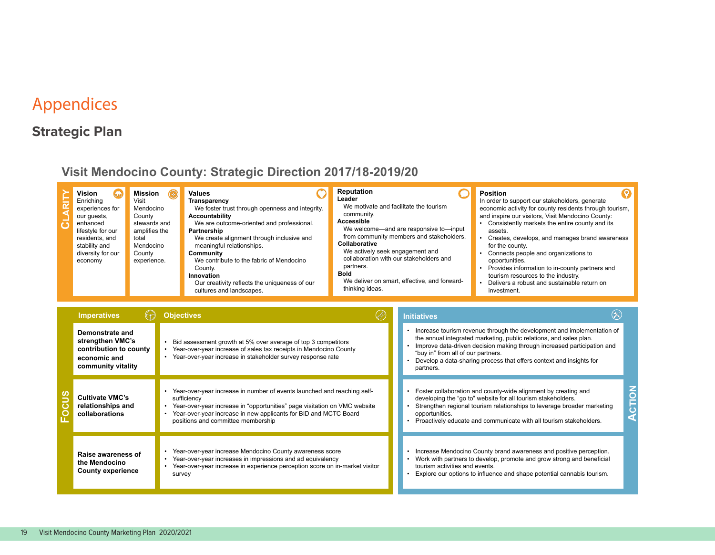## Appendices

## **Strategic Plan**

## **Visit Mendocino County: Strategic Direction 2017/18-2019/20**

| Vision<br>Enriching<br>experiences for<br>our quests,<br>enhanced<br>lifestyle for our<br>residents, and<br>stability and<br>diversity for our<br>economy | Mission<br>⊛<br>Visit<br>Mendocino<br>County<br>stewards and<br>amplifies the<br>total<br>Mendocino<br>County<br>experience. | <b>Values</b><br>Transparency<br>We foster trust through openness and integrity.<br><b>Accountability</b><br>We are outcome-oriented and professional.<br>Partnership<br>We create alignment through inclusive and<br>meaningful relationships.<br>Community<br>We contribute to the fabric of Mendocino<br>County.<br>Innovation<br>Our creativity reflects the uniqueness of our<br>cultures and landscapes. | <b>Reputation</b><br>Leader<br>We motivate and facilitate the tourism<br>community.<br>Accessible<br>We welcome—and are responsive to—input<br>from community members and stakeholders.<br>Collaborative<br>We actively seek engagement and<br>collaboration with our stakeholders and<br>partners.<br><b>Bold</b><br>We deliver on smart, effective, and forward-<br>thinking ideas. | <b>Position</b><br>In order to support our stakeholders, generate<br>economic activity for county residents through tourism,<br>and inspire our visitors, Visit Mendocino County:<br>Consistently markets the entire county and its<br>assets.<br>Creates, develops, and manages brand awareness<br>for the county.<br>Connects people and organizations to<br>opportunities.<br>Provides information to in-county partners and<br>tourism resources to the industry.<br>Delivers a robust and sustainable return on<br>investment. |
|-----------------------------------------------------------------------------------------------------------------------------------------------------------|------------------------------------------------------------------------------------------------------------------------------|----------------------------------------------------------------------------------------------------------------------------------------------------------------------------------------------------------------------------------------------------------------------------------------------------------------------------------------------------------------------------------------------------------------|---------------------------------------------------------------------------------------------------------------------------------------------------------------------------------------------------------------------------------------------------------------------------------------------------------------------------------------------------------------------------------------|-------------------------------------------------------------------------------------------------------------------------------------------------------------------------------------------------------------------------------------------------------------------------------------------------------------------------------------------------------------------------------------------------------------------------------------------------------------------------------------------------------------------------------------|
|-----------------------------------------------------------------------------------------------------------------------------------------------------------|------------------------------------------------------------------------------------------------------------------------------|----------------------------------------------------------------------------------------------------------------------------------------------------------------------------------------------------------------------------------------------------------------------------------------------------------------------------------------------------------------------------------------------------------------|---------------------------------------------------------------------------------------------------------------------------------------------------------------------------------------------------------------------------------------------------------------------------------------------------------------------------------------------------------------------------------------|-------------------------------------------------------------------------------------------------------------------------------------------------------------------------------------------------------------------------------------------------------------------------------------------------------------------------------------------------------------------------------------------------------------------------------------------------------------------------------------------------------------------------------------|

|               | <b>Imperatives</b>                                                                                  | <b>Objectives</b>                                                                                                                                                                                                                                                             | <b>Initiatives</b>                                                                                                                                                                                                                                                                                                                                |  |
|---------------|-----------------------------------------------------------------------------------------------------|-------------------------------------------------------------------------------------------------------------------------------------------------------------------------------------------------------------------------------------------------------------------------------|---------------------------------------------------------------------------------------------------------------------------------------------------------------------------------------------------------------------------------------------------------------------------------------------------------------------------------------------------|--|
|               | Demonstrate and<br>strengthen VMC's<br>contribution to county<br>economic and<br>community vitality | Bid assessment growth at 5% over average of top 3 competitors<br>Year-over-year increase of sales tax receipts in Mendocino County<br>Year-over-year increase in stakeholder survey response rate                                                                             | Increase tourism revenue through the development and implementation of<br>the annual integrated marketing, public relations, and sales plan.<br>Improve data-driven decision making through increased participation and<br>"buy in" from all of our partners.<br>Develop a data-sharing process that offers context and insights for<br>partners. |  |
| $\frac{a}{b}$ | <b>Cultivate VMC's</b><br>relationships and<br>collaborations                                       | Year-over-year increase in number of events launched and reaching self-<br>sufficiency<br>Year-over-year increase in "opportunities" page visitation on VMC website<br>Year-over-year increase in new applicants for BID and MCTC Board<br>positions and committee membership | Foster collaboration and county-wide alignment by creating and<br>developing the "go to" website for all tourism stakeholders.<br>Strengthen regional tourism relationships to leverage broader marketing<br>opportunities.<br>Proactively educate and communicate with all tourism stakeholders.                                                 |  |
|               | Raise awareness of<br>the Mendocino<br><b>County experience</b>                                     | Year-over-year increase Mendocino County awareness score<br>Year-over-year increases in impressions and ad equivalency<br>Year-over-year increase in experience perception score on in-market visitor<br>survey                                                               | Increase Mendocino County brand awareness and positive perception.<br>Work with partners to develop, promote and grow strong and beneficial<br>tourism activities and events.<br>Explore our options to influence and shape potential cannabis tourism.                                                                                           |  |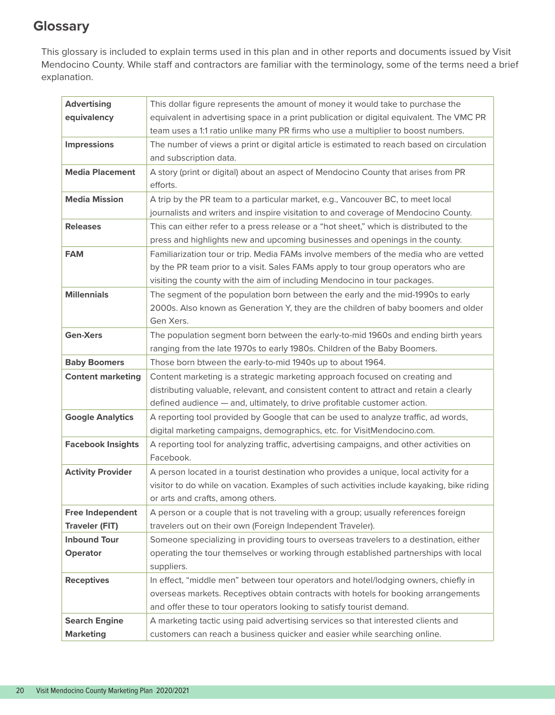## **Glossary**

This glossary is included to explain terms used in this plan and in other reports and documents issued by Visit Mendocino County. While staff and contractors are familiar with the terminology, some of the terms need a brief explanation.

| <b>Advertising</b>                               | This dollar figure represents the amount of money it would take to purchase the                                                                                                                                                                        |
|--------------------------------------------------|--------------------------------------------------------------------------------------------------------------------------------------------------------------------------------------------------------------------------------------------------------|
| equivalency                                      | equivalent in advertising space in a print publication or digital equivalent. The VMC PR                                                                                                                                                               |
|                                                  | team uses a 1:1 ratio unlike many PR firms who use a multiplier to boost numbers.                                                                                                                                                                      |
| <b>Impressions</b>                               | The number of views a print or digital article is estimated to reach based on circulation<br>and subscription data.                                                                                                                                    |
| <b>Media Placement</b>                           | A story (print or digital) about an aspect of Mendocino County that arises from PR<br>efforts.                                                                                                                                                         |
| <b>Media Mission</b>                             | A trip by the PR team to a particular market, e.g., Vancouver BC, to meet local<br>journalists and writers and inspire visitation to and coverage of Mendocino County.                                                                                 |
| <b>Releases</b>                                  | This can either refer to a press release or a "hot sheet," which is distributed to the<br>press and highlights new and upcoming businesses and openings in the county.                                                                                 |
| <b>FAM</b>                                       | Familiarization tour or trip. Media FAMs involve members of the media who are vetted<br>by the PR team prior to a visit. Sales FAMs apply to tour group operators who are<br>visiting the county with the aim of including Mendocino in tour packages. |
| <b>Millennials</b>                               | The segment of the population born between the early and the mid-1990s to early<br>2000s. Also known as Generation Y, they are the children of baby boomers and older<br>Gen Xers.                                                                     |
| <b>Gen-Xers</b>                                  | The population segment born between the early-to-mid 1960s and ending birth years                                                                                                                                                                      |
|                                                  | ranging from the late 1970s to early 1980s. Children of the Baby Boomers.                                                                                                                                                                              |
| <b>Baby Boomers</b>                              | Those born btween the early-to-mid 1940s up to about 1964.                                                                                                                                                                                             |
| <b>Content marketing</b>                         | Content marketing is a strategic marketing approach focused on creating and                                                                                                                                                                            |
|                                                  | distributing valuable, relevant, and consistent content to attract and retain a clearly                                                                                                                                                                |
|                                                  | defined audience - and, ultimately, to drive profitable customer action.                                                                                                                                                                               |
| <b>Google Analytics</b>                          | A reporting tool provided by Google that can be used to analyze traffic, ad words,<br>digital marketing campaigns, demographics, etc. for VisitMendocino.com.                                                                                          |
| <b>Facebook Insights</b>                         | A reporting tool for analyzing traffic, advertising campaigns, and other activities on<br>Facebook.                                                                                                                                                    |
| <b>Activity Provider</b>                         | A person located in a tourist destination who provides a unique, local activity for a<br>visitor to do while on vacation. Examples of such activities include kayaking, bike riding<br>or arts and crafts, among others.                               |
| <b>Free Independent</b><br><b>Traveler (FIT)</b> | A person or a couple that is not traveling with a group; usually references foreign<br>travelers out on their own (Foreign Independent Traveler).                                                                                                      |
| <b>Inbound Tour</b><br>Operator                  | Someone specializing in providing tours to overseas travelers to a destination, either<br>operating the tour themselves or working through established partnerships with local<br>suppliers.                                                           |
| <b>Receptives</b>                                | In effect, "middle men" between tour operators and hotel/lodging owners, chiefly in<br>overseas markets. Receptives obtain contracts with hotels for booking arrangements<br>and offer these to tour operators looking to satisfy tourist demand.      |
| <b>Search Engine</b><br><b>Marketing</b>         | A marketing tactic using paid advertising services so that interested clients and<br>customers can reach a business quicker and easier while searching online.                                                                                         |